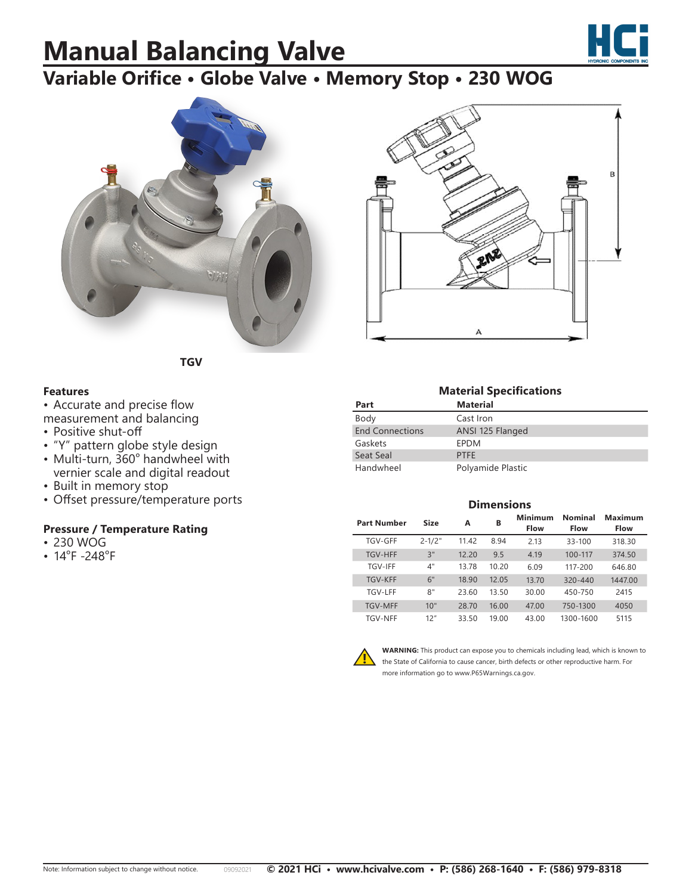## **Manual Balancing Valve**



## **Variable Orifice • Globe Valve • Memory Stop • 230 WOG**





**TGV**

### **Features**

• Accurate and precise flow measurement and balancing

- Positive shut-off
- "Y" pattern globe style design
- Multi-turn, 360° handwheel with vernier scale and digital readout
- Built in memory stop
- Offset pressure/temperature ports

### **Pressure / Temperature Rating**

- 230 WOG
- 14°F -248°F

**Material Specifications Part Material** Body Cast Iron End Connections ANSI 125 Flanged Gaskets EPDM Seat Seal PTFE Handwheel Polyamide Plastic

| <b>Dimensions</b>  |             |       |       |                               |                               |                        |  |  |  |
|--------------------|-------------|-------|-------|-------------------------------|-------------------------------|------------------------|--|--|--|
| <b>Part Number</b> | <b>Size</b> | A     | в     | <b>Minimum</b><br><b>Flow</b> | <b>Nominal</b><br><b>Flow</b> | Maximum<br><b>Flow</b> |  |  |  |
| TGV-GFF            | $2 - 1/2"$  | 11.42 | 8.94  | 2.13                          | $33 - 100$                    | 318.30                 |  |  |  |
| <b>TGV-HFF</b>     | 3"          | 12.20 | 9.5   | 4.19                          | 100-117                       | 374.50                 |  |  |  |
| <b>TGV-IFF</b>     | 4"          | 13.78 | 10.20 | 6.09                          | 117-200                       | 646.80                 |  |  |  |
| <b>TGV-KFF</b>     | 6"          | 18.90 | 12.05 | 13.70                         | $320 - 440$                   | 1447.00                |  |  |  |
| <b>TGV-LFF</b>     | 8"          | 23.60 | 13.50 | 30.00                         | 450-750                       | 2415                   |  |  |  |
| <b>TGV-MFF</b>     | 10"         | 28.70 | 16.00 | 47.00                         | 750-1300                      | 4050                   |  |  |  |
| <b>TGV-NFF</b>     | 12"         | 33.50 | 19.00 | 43.00                         | 1300-1600                     | 5115                   |  |  |  |



**WARNING:** This product can expose you to chemicals including lead, which is known to the State of California to cause cancer, birth defects or other reproductive harm. For more information go to www.P65Warnings.ca.gov.